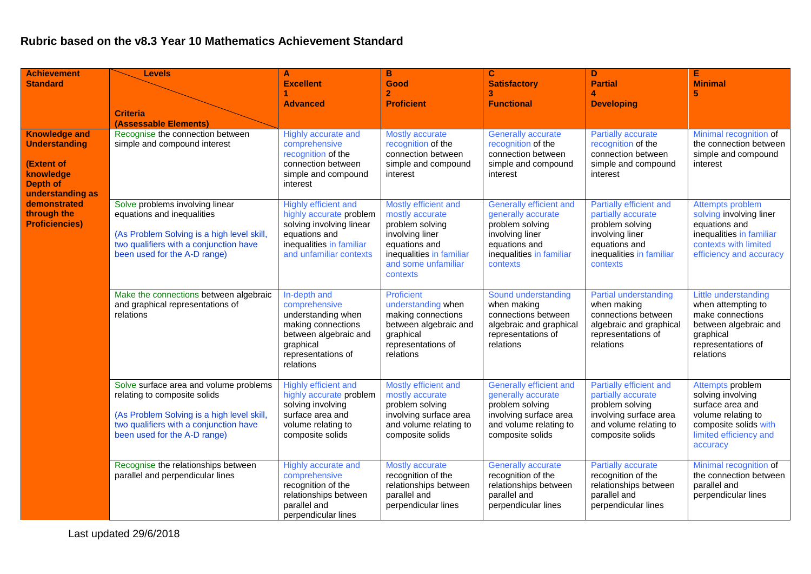## **Rubric based on the v8.3 Year 10 Mathematics Achievement Standard**

| <b>Achievement</b>                                                                                             | <b>Levels</b>                                                                                                                                                                                  | A                                                                                                                                                   | $\mathbf{B}$                                                                                                                                                  | $\mathbf{C}$                                                                                                                                        | D                                                                                                                                            | Е                                                                                                                                              |
|----------------------------------------------------------------------------------------------------------------|------------------------------------------------------------------------------------------------------------------------------------------------------------------------------------------------|-----------------------------------------------------------------------------------------------------------------------------------------------------|---------------------------------------------------------------------------------------------------------------------------------------------------------------|-----------------------------------------------------------------------------------------------------------------------------------------------------|----------------------------------------------------------------------------------------------------------------------------------------------|------------------------------------------------------------------------------------------------------------------------------------------------|
| <b>Standard</b>                                                                                                |                                                                                                                                                                                                | <b>Excellent</b>                                                                                                                                    | Good                                                                                                                                                          | <b>Satisfactory</b><br>3                                                                                                                            | <b>Partial</b>                                                                                                                               | <b>Minimal</b><br>5                                                                                                                            |
|                                                                                                                |                                                                                                                                                                                                | <b>Advanced</b>                                                                                                                                     | <b>Proficient</b>                                                                                                                                             | <b>Functional</b>                                                                                                                                   | <b>Developing</b>                                                                                                                            |                                                                                                                                                |
|                                                                                                                | <b>Criteria</b><br>(Assessable Elements)                                                                                                                                                       |                                                                                                                                                     |                                                                                                                                                               |                                                                                                                                                     |                                                                                                                                              |                                                                                                                                                |
| <b>Knowledge and</b><br><b>Understanding</b><br>(Extent of<br>knowledge<br><b>Depth of</b><br>understanding as | Recognise the connection between<br>simple and compound interest                                                                                                                               | Highly accurate and<br>comprehensive<br>recognition of the<br>connection between<br>simple and compound<br>interest                                 | Mostly accurate<br>recognition of the<br>connection between<br>simple and compound<br>interest                                                                | <b>Generally accurate</b><br>recognition of the<br>connection between<br>simple and compound<br>interest                                            | <b>Partially accurate</b><br>recognition of the<br>connection between<br>simple and compound<br>interest                                     | Minimal recognition of<br>the connection between<br>simple and compound<br>interest                                                            |
| demonstrated<br>through the<br><b>Proficiencies)</b>                                                           | Solve problems involving linear<br>equations and inequalities<br>(As Problem Solving is a high level skill,<br>two qualifiers with a conjunction have<br>been used for the A-D range)          | Highly efficient and<br>highly accurate problem<br>solving involving linear<br>equations and<br>inequalities in familiar<br>and unfamiliar contexts | Mostly efficient and<br>mostly accurate<br>problem solving<br>involving liner<br>equations and<br>inequalities in familiar<br>and some unfamiliar<br>contexts | <b>Generally efficient and</b><br>generally accurate<br>problem solving<br>involving liner<br>equations and<br>inequalities in familiar<br>contexts | Partially efficient and<br>partially accurate<br>problem solving<br>involving liner<br>equations and<br>inequalities in familiar<br>contexts | Attempts problem<br>solving involving liner<br>equations and<br>inequalities in familiar<br>contexts with limited<br>efficiency and accuracy   |
|                                                                                                                | Make the connections between algebraic<br>and graphical representations of<br>relations                                                                                                        | In-depth and<br>comprehensive<br>understanding when<br>making connections<br>between algebraic and<br>graphical<br>representations of<br>relations  | Proficient<br>understanding when<br>making connections<br>between algebraic and<br>graphical<br>representations of<br>relations                               | Sound understanding<br>when making<br>connections between<br>algebraic and graphical<br>representations of<br>relations                             | Partial understanding<br>when making<br>connections between<br>algebraic and graphical<br>representations of<br>relations                    | Little understanding<br>when attempting to<br>make connections<br>between algebraic and<br>graphical<br>representations of<br>relations        |
|                                                                                                                | Solve surface area and volume problems<br>relating to composite solids<br>(As Problem Solving is a high level skill,<br>two qualifiers with a conjunction have<br>been used for the A-D range) | <b>Highly efficient and</b><br>highly accurate problem<br>solving involving<br>surface area and<br>volume relating to<br>composite solids           | Mostly efficient and<br>mostly accurate<br>problem solving<br>involving surface area<br>and volume relating to<br>composite solids                            | Generally efficient and<br>generally accurate<br>problem solving<br>involving surface area<br>and volume relating to<br>composite solids            | Partially efficient and<br>partially accurate<br>problem solving<br>involving surface area<br>and volume relating to<br>composite solids     | Attempts problem<br>solving involving<br>surface area and<br>volume relating to<br>composite solids with<br>limited efficiency and<br>accuracy |
|                                                                                                                | Recognise the relationships between<br>parallel and perpendicular lines                                                                                                                        | Highly accurate and<br>comprehensive<br>recognition of the<br>relationships between<br>parallel and<br>perpendicular lines                          | Mostly accurate<br>recognition of the<br>relationships between<br>parallel and<br>perpendicular lines                                                         | <b>Generally accurate</b><br>recognition of the<br>relationships between<br>parallel and<br>perpendicular lines                                     | <b>Partially accurate</b><br>recognition of the<br>relationships between<br>parallel and<br>perpendicular lines                              | Minimal recognition of<br>the connection between<br>parallel and<br>perpendicular lines                                                        |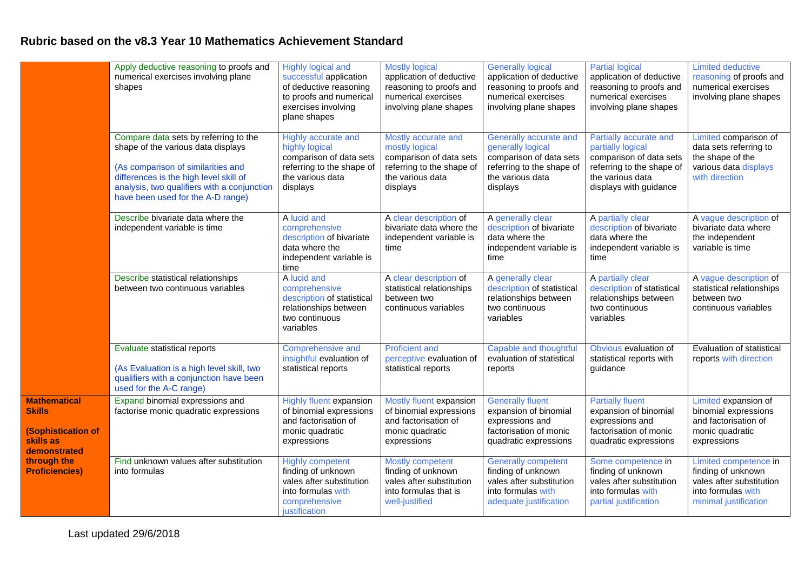## **Rubric based on the v8.3 Year 10 Mathematics Achievement Standard**

|                                                                                                                                 | Apply deductive reasoning to proofs and<br>numerical exercises involving plane<br>shapes                                                                                                                                                        | Highly logical and<br>successful application<br>of deductive reasoning<br>to proofs and numerical<br>exercises involving<br>plane shapes | <b>Mostly logical</b><br>application of deductive<br>reasoning to proofs and<br>numerical exercises<br>involving plane shapes | <b>Generally logical</b><br>application of deductive<br>reasoning to proofs and<br>numerical exercises<br>involving plane shapes    | <b>Partial logical</b><br>application of deductive<br>reasoning to proofs and<br>numerical exercises<br>involving plane shapes                    | <b>Limited deductive</b><br>reasoning of proofs and<br>numerical exercises<br>involving plane shapes                   |
|---------------------------------------------------------------------------------------------------------------------------------|-------------------------------------------------------------------------------------------------------------------------------------------------------------------------------------------------------------------------------------------------|------------------------------------------------------------------------------------------------------------------------------------------|-------------------------------------------------------------------------------------------------------------------------------|-------------------------------------------------------------------------------------------------------------------------------------|---------------------------------------------------------------------------------------------------------------------------------------------------|------------------------------------------------------------------------------------------------------------------------|
|                                                                                                                                 | Compare data sets by referring to the<br>shape of the various data displays<br>(As comparison of similarities and<br>differences is the high level skill of<br>analysis, two qualifiers with a conjunction<br>have been used for the A-D range) | Highly accurate and<br>highly logical<br>comparison of data sets<br>referring to the shape of<br>the various data<br>displays            | Mostly accurate and<br>mostly logical<br>comparison of data sets<br>referring to the shape of<br>the various data<br>displays | Generally accurate and<br>generally logical<br>comparison of data sets<br>referring to the shape of<br>the various data<br>displays | Partially accurate and<br>partially logical<br>comparison of data sets<br>referring to the shape of<br>the various data<br>displays with guidance | Limited comparison of<br>data sets referring to<br>the shape of the<br>various data displays<br>with direction         |
|                                                                                                                                 | Describe bivariate data where the<br>independent variable is time                                                                                                                                                                               | A lucid and<br>comprehensive<br>description of bivariate<br>data where the<br>independent variable is<br>time                            | A clear description of<br>bivariate data where the<br>independent variable is<br>time                                         | A generally clear<br>description of bivariate<br>data where the<br>independent variable is<br>time                                  | A partially clear<br>description of bivariate<br>data where the<br>independent variable is<br>time                                                | A vague description of<br>bivariate data where<br>the independent<br>variable is time                                  |
|                                                                                                                                 | Describe statistical relationships<br>between two continuous variables                                                                                                                                                                          | A lucid and<br>comprehensive<br>description of statistical<br>relationships between<br>two continuous<br>variables                       | A clear description of<br>statistical relationships<br>between two<br>continuous variables                                    | A generally clear<br>description of statistical<br>relationships between<br>two continuous<br>variables                             | A partially clear<br>description of statistical<br>relationships between<br>two continuous<br>variables                                           | A vague description of<br>statistical relationships<br>between two<br>continuous variables                             |
|                                                                                                                                 | Evaluate statistical reports<br>(As Evaluation is a high level skill, two<br>qualifiers with a conjunction have been<br>used for the A-C range)                                                                                                 | Comprehensive and<br>insightful evaluation of<br>statistical reports                                                                     | <b>Proficient and</b><br>perceptive evaluation of<br>statistical reports                                                      | Capable and thoughtful<br>evaluation of statistical<br>reports                                                                      | Obvious evaluation of<br>statistical reports with<br>guidance                                                                                     | Evaluation of statistical<br>reports with direction                                                                    |
| <b>Mathematical</b><br><b>Skills</b><br>(Sophistication of<br>skills as<br>demonstrated<br>through the<br><b>Proficiencies)</b> | Expand binomial expressions and<br>factorise monic quadratic expressions                                                                                                                                                                        | <b>Highly fluent expansion</b><br>of binomial expressions<br>and factorisation of<br>monic quadratic<br>expressions                      | Mostly fluent expansion<br>of binomial expressions<br>and factorisation of<br>monic quadratic<br>expressions                  | <b>Generally fluent</b><br>expansion of binomial<br>expressions and<br>factorisation of monic<br>quadratic expressions              | <b>Partially fluent</b><br>expansion of binomial<br>expressions and<br>factorisation of monic<br>quadratic expressions                            | Limited expansion of<br>binomial expressions<br>and factorisation of<br>monic quadratic<br>expressions                 |
|                                                                                                                                 | Find unknown values after substitution<br>into formulas                                                                                                                                                                                         | <b>Highly competent</b><br>finding of unknown<br>vales after substitution<br>into formulas with<br>comprehensive<br>justification        | Mostly competent<br>finding of unknown<br>vales after substitution<br>into formulas that is<br>well-justified                 | <b>Generally competent</b><br>finding of unknown<br>vales after substitution<br>into formulas with<br>adequate justification        | Some competence in<br>finding of unknown<br>vales after substitution<br>into formulas with<br>partial justification                               | Limited competence in<br>finding of unknown<br>vales after substitution<br>into formulas with<br>minimal justification |